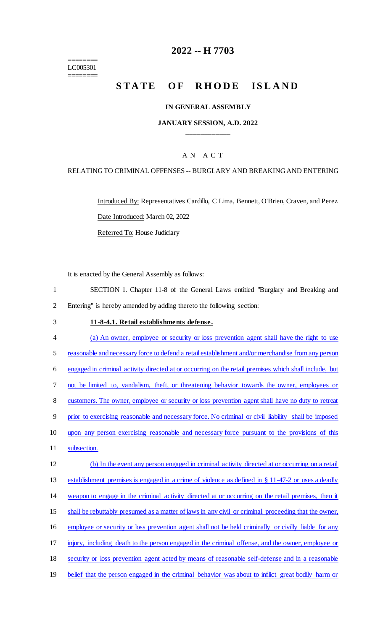======== LC005301 ========

# **2022 -- H 7703**

# STATE OF RHODE ISLAND

#### **IN GENERAL ASSEMBLY**

#### **JANUARY SESSION, A.D. 2022 \_\_\_\_\_\_\_\_\_\_\_\_**

### A N A C T

#### RELATING TO CRIMINAL OFFENSES -- BURGLARY AND BREAKING AND ENTERING

Introduced By: Representatives Cardillo, C Lima, Bennett, O'Brien, Craven, and Perez Date Introduced: March 02, 2022

Referred To: House Judiciary

It is enacted by the General Assembly as follows:

1 SECTION 1. Chapter 11-8 of the General Laws entitled "Burglary and Breaking and 2 Entering" is hereby amended by adding thereto the following section:

- 3 **11-8-4.1. Retail establishments defense.**
- 4 (a) An owner, employee or security or loss prevention agent shall have the right to use 5 reasonable and necessary force to defend a retail establishment and/or merchandise from any person 6 engaged in criminal activity directed at or occurring on the retail premises which shall include, but 7 not be limited to, vandalism, theft, or threatening behavior towards the owner, employees or 8 customers. The owner, employee or security or loss prevention agent shall have no duty to retreat 9 prior to exercising reasonable and necessary force. No criminal or civil liability shall be imposed 10 upon any person exercising reasonable and necessary force pursuant to the provisions of this 11 subsection. 12 (b) In the event any person engaged in criminal activity directed at or occurring on a retail 13 establishment premises is engaged in a crime of violence as defined in § 11-47-2 or uses a deadly 14 weapon to engage in the criminal activity directed at or occurring on the retail premises, then it 15 shall be rebuttably presumed as a matter of laws in any civil or criminal proceeding that the owner, 16 employee or security or loss prevention agent shall not be held criminally or civilly liable for any 17 injury, including death to the person engaged in the criminal offense, and the owner, employee or

18 security or loss prevention agent acted by means of reasonable self-defense and in a reasonable

19 belief that the person engaged in the criminal behavior was about to inflict great bodily harm or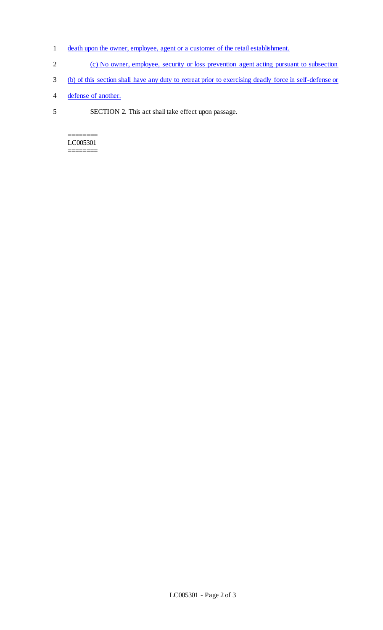- 1 death upon the owner, employee, agent or a customer of the retail establishment.
- 2 (c) No owner, employee, security or loss prevention agent acting pursuant to subsection
- 3 (b) of this section shall have any duty to retreat prior to exercising deadly force in self-defense or
- 4 defense of another.
- 5 SECTION 2. This act shall take effect upon passage.

======== LC005301 ========